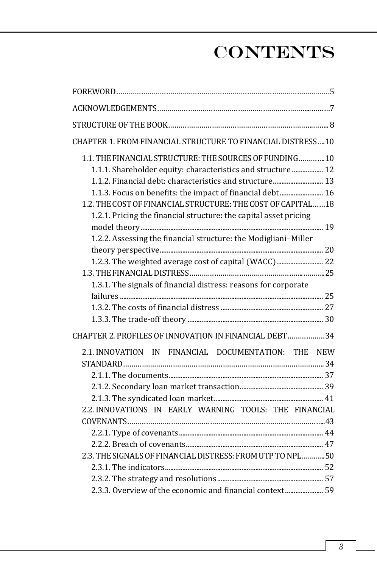## **CONTENTS**

| CHAPTER 1. FROM FINANCIAL STRUCTURE TO FINANCIAL DISTRESS10       |  |
|-------------------------------------------------------------------|--|
| 1.1. THE FINANCIAL STRUCTURE: THE SOURCES OF FUNDING 10           |  |
| 1.1.1. Shareholder equity: characteristics and structure  12      |  |
| 1.1.2. Financial debt: characteristics and structure 13           |  |
| 1.1.3. Focus on benefits: the impact of financial debt 16         |  |
| 1.2. THE COST OF FINANCIAL STRUCTURE: THE COST OF CAPITAL 18      |  |
| 1.2.1. Pricing the financial structure: the capital asset pricing |  |
|                                                                   |  |
| 1.2.2. Assessing the financial structure: the Modigliani-Miller   |  |
|                                                                   |  |
| 1.2.3. The weighted average cost of capital (WACC) 22             |  |
|                                                                   |  |
| 1.3.1. The signals of financial distress: reasons for corporate   |  |
|                                                                   |  |
|                                                                   |  |
|                                                                   |  |
| CHAPTER 2. PROFILES OF INNOVATION IN FINANCIAL DEBT34             |  |
| 2.1. INNOVATION IN FINANCIAL DOCUMENTATION: THE NEW               |  |
|                                                                   |  |
|                                                                   |  |
|                                                                   |  |
|                                                                   |  |
| 2.2. INNOVATIONS IN EARLY WARNING TOOLS: THE FINANCIAL            |  |
|                                                                   |  |
|                                                                   |  |
|                                                                   |  |
| 2.3. THE SIGNALS OF FINANCIAL DISTRESS: FROM UTP TO NPL  50       |  |
|                                                                   |  |
|                                                                   |  |
| 2.3.3. Overview of the economic and financial context 59          |  |